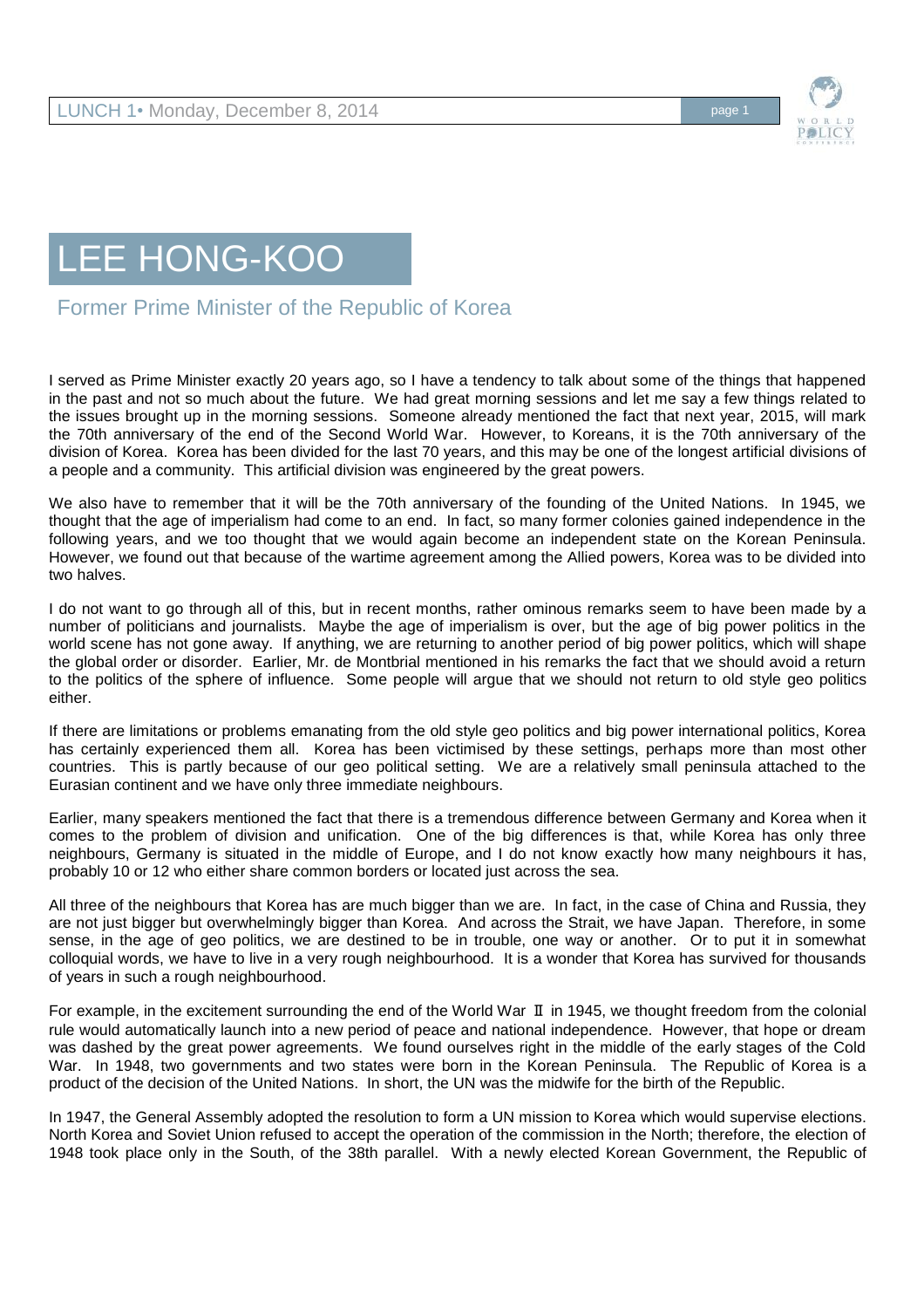



Former Prime Minister of the Republic of Korea

I served as Prime Minister exactly 20 years ago, so I have a tendency to talk about some of the things that happened in the past and not so much about the future. We had great morning sessions and let me say a few things related to the issues brought up in the morning sessions. Someone already mentioned the fact that next year, 2015, will mark the 70th anniversary of the end of the Second World War. However, to Koreans, it is the 70th anniversary of the division of Korea. Korea has been divided for the last 70 years, and this may be one of the longest artificial divisions of a people and a community. This artificial division was engineered by the great powers.

We also have to remember that it will be the 70th anniversary of the founding of the United Nations. In 1945, we thought that the age of imperialism had come to an end. In fact, so many former colonies gained independence in the following years, and we too thought that we would again become an independent state on the Korean Peninsula. However, we found out that because of the wartime agreement among the Allied powers, Korea was to be divided into two halves.

I do not want to go through all of this, but in recent months, rather ominous remarks seem to have been made by a number of politicians and journalists. Maybe the age of imperialism is over, but the age of big power politics in the world scene has not gone away. If anything, we are returning to another period of big power politics, which will shape the global order or disorder. Earlier, Mr. de Montbrial mentioned in his remarks the fact that we should avoid a return to the politics of the sphere of influence. Some people will argue that we should not return to old style geo politics either.

If there are limitations or problems emanating from the old style geo politics and big power international politics, Korea has certainly experienced them all. Korea has been victimised by these settings, perhaps more than most other countries. This is partly because of our geo political setting. We are a relatively small peninsula attached to the Eurasian continent and we have only three immediate neighbours.

Earlier, many speakers mentioned the fact that there is a tremendous difference between Germany and Korea when it comes to the problem of division and unification. One of the big differences is that, while Korea has only three neighbours, Germany is situated in the middle of Europe, and I do not know exactly how many neighbours it has, probably 10 or 12 who either share common borders or located just across the sea.

All three of the neighbours that Korea has are much bigger than we are. In fact, in the case of China and Russia, they are not just bigger but overwhelmingly bigger than Korea. And across the Strait, we have Japan. Therefore, in some sense, in the age of geo politics, we are destined to be in trouble, one way or another. Or to put it in somewhat colloquial words, we have to live in a very rough neighbourhood. It is a wonder that Korea has survived for thousands of years in such a rough neighbourhood.

For example, in the excitement surrounding the end of the World War Ⅱ in 1945, we thought freedom from the colonial rule would automatically launch into a new period of peace and national independence. However, that hope or dream was dashed by the great power agreements. We found ourselves right in the middle of the early stages of the Cold War. In 1948, two governments and two states were born in the Korean Peninsula. The Republic of Korea is a product of the decision of the United Nations. In short, the UN was the midwife for the birth of the Republic.

In 1947, the General Assembly adopted the resolution to form a UN mission to Korea which would supervise elections. North Korea and Soviet Union refused to accept the operation of the commission in the North; therefore, the election of 1948 took place only in the South, of the 38th parallel. With a newly elected Korean Government, the Republic of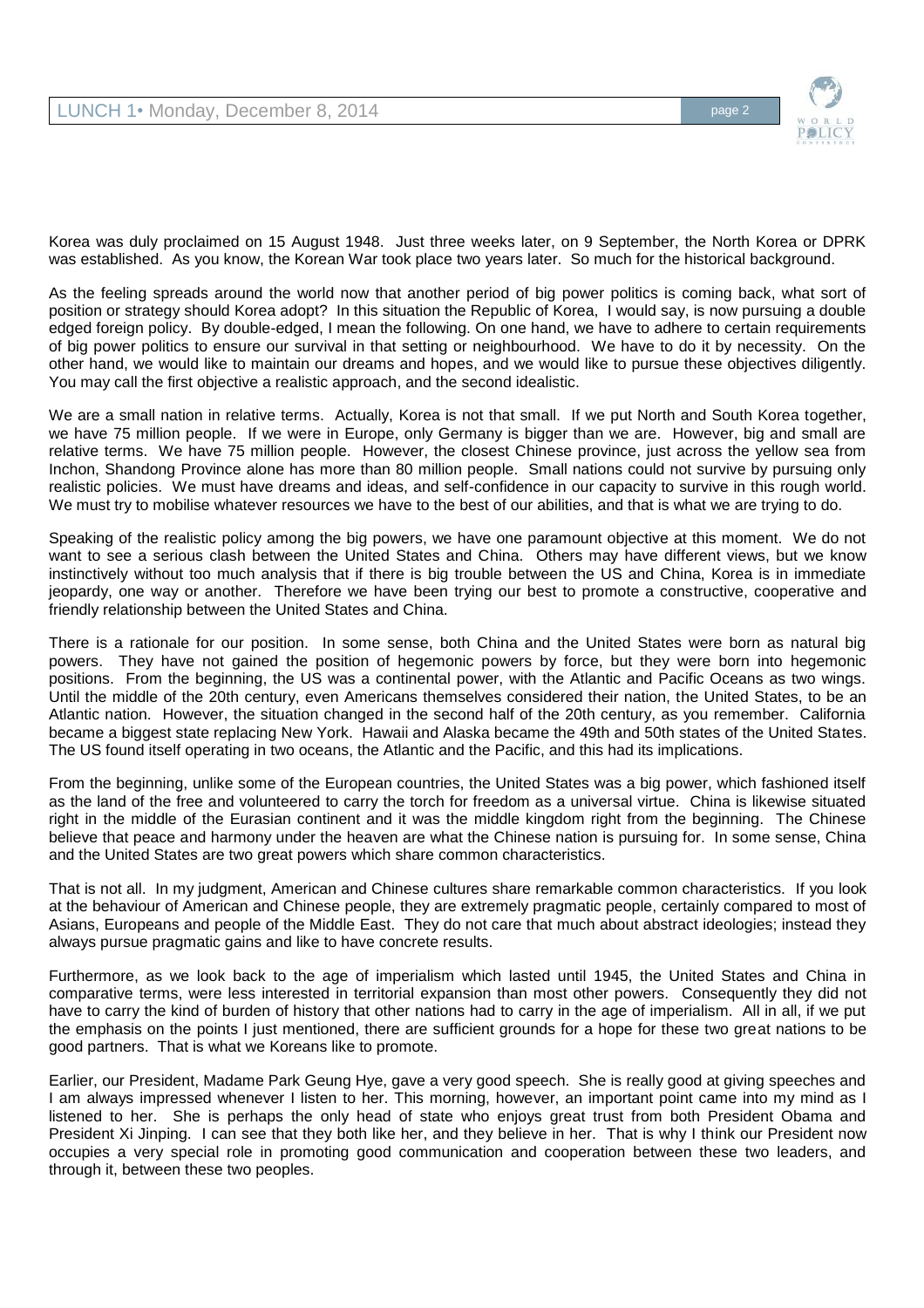

Korea was duly proclaimed on 15 August 1948. Just three weeks later, on 9 September, the North Korea or DPRK was established. As you know, the Korean War took place two years later. So much for the historical background.

As the feeling spreads around the world now that another period of big power politics is coming back, what sort of position or strategy should Korea adopt? In this situation the Republic of Korea, I would say, is now pursuing a double edged foreign policy. By double-edged, I mean the following. On one hand, we have to adhere to certain requirements of big power politics to ensure our survival in that setting or neighbourhood. We have to do it by necessity. On the other hand, we would like to maintain our dreams and hopes, and we would like to pursue these objectives diligently. You may call the first objective a realistic approach, and the second idealistic.

We are a small nation in relative terms. Actually, Korea is not that small. If we put North and South Korea together, we have 75 million people. If we were in Europe, only Germany is bigger than we are. However, big and small are relative terms. We have 75 million people. However, the closest Chinese province, just across the yellow sea from Inchon, Shandong Province alone has more than 80 million people. Small nations could not survive by pursuing only realistic policies. We must have dreams and ideas, and self-confidence in our capacity to survive in this rough world. We must try to mobilise whatever resources we have to the best of our abilities, and that is what we are trying to do.

Speaking of the realistic policy among the big powers, we have one paramount objective at this moment. We do not want to see a serious clash between the United States and China. Others may have different views, but we know instinctively without too much analysis that if there is big trouble between the US and China, Korea is in immediate jeopardy, one way or another. Therefore we have been trying our best to promote a constructive, cooperative and friendly relationship between the United States and China.

There is a rationale for our position. In some sense, both China and the United States were born as natural big powers. They have not gained the position of hegemonic powers by force, but they were born into hegemonic positions. From the beginning, the US was a continental power, with the Atlantic and Pacific Oceans as two wings. Until the middle of the 20th century, even Americans themselves considered their nation, the United States, to be an Atlantic nation. However, the situation changed in the second half of the 20th century, as you remember. California became a biggest state replacing New York. Hawaii and Alaska became the 49th and 50th states of the United States. The US found itself operating in two oceans, the Atlantic and the Pacific, and this had its implications.

From the beginning, unlike some of the European countries, the United States was a big power, which fashioned itself as the land of the free and volunteered to carry the torch for freedom as a universal virtue. China is likewise situated right in the middle of the Eurasian continent and it was the middle kingdom right from the beginning. The Chinese believe that peace and harmony under the heaven are what the Chinese nation is pursuing for. In some sense, China and the United States are two great powers which share common characteristics.

That is not all. In my judgment, American and Chinese cultures share remarkable common characteristics. If you look at the behaviour of American and Chinese people, they are extremely pragmatic people, certainly compared to most of Asians, Europeans and people of the Middle East. They do not care that much about abstract ideologies; instead they always pursue pragmatic gains and like to have concrete results.

Furthermore, as we look back to the age of imperialism which lasted until 1945, the United States and China in comparative terms, were less interested in territorial expansion than most other powers. Consequently they did not have to carry the kind of burden of history that other nations had to carry in the age of imperialism. All in all, if we put the emphasis on the points I just mentioned, there are sufficient grounds for a hope for these two great nations to be good partners. That is what we Koreans like to promote.

Earlier, our President, Madame Park Geung Hye, gave a very good speech. She is really good at giving speeches and I am always impressed whenever I listen to her. This morning, however, an important point came into my mind as I listened to her. She is perhaps the only head of state who enjoys great trust from both President Obama and President Xi Jinping. I can see that they both like her, and they believe in her. That is why I think our President now occupies a very special role in promoting good communication and cooperation between these two leaders, and through it, between these two peoples.